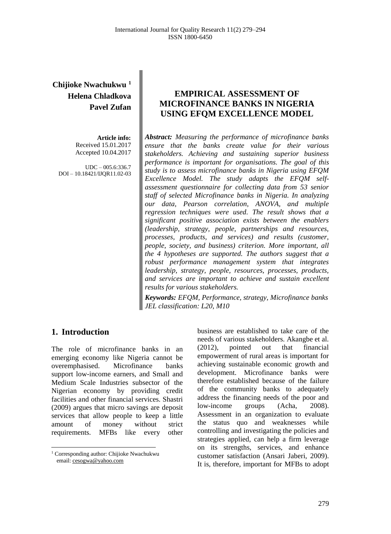# **Chijioke Nwachukwu <sup>1</sup> Helena Chladkova Pavel Zufan**

**Article info:** Received 15.01.2017 Accepted 10.04.2017

UDC – 005.6:336.7 DOI – 10.18421/IJQR11.02-03

# **EMPIRICAL ASSESSMENT OF MICROFINANCE BANKS IN NIGERIA USING EFQM EXCELLENCE MODEL**

*Abstract: Measuring the performance of microfinance banks ensure that the banks create value for their various stakeholders. Achieving and sustaining superior business performance is important for organisations. The goal of this study is to assess microfinance banks in Nigeria using EFQM Excellence Model. The study adapts the EFQM selfassessment questionnaire for collecting data from 53 senior staff of selected Microfinance banks in Nigeria. In analyzing our data, Pearson correlation, ANOVA, and multiple regression techniques were used. The result shows that a significant positive association exists between the enablers (leadership, strategy, people, partnerships and resources, processes, products, and services) and results (customer, people, society, and business) criterion. More important, all the 4 hypotheses are supported. The authors suggest that a robust performance management system that integrates leadership, strategy, people, resources, processes, products, and services are important to achieve and sustain excellent results for various stakeholders.*

*Keywords: EFQM, Performance, strategy, Microfinance banks JEL classification: L20, M10*

## **1. Introduction<sup>1</sup>**

 $\overline{a}$ 

The role of microfinance banks in an emerging economy like Nigeria cannot be overemphasised. Microfinance banks support low-income earners, and Small and Medium Scale Industries subsector of the Nigerian economy by providing credit facilities and other financial services. Shastri (2009) argues that micro savings are deposit services that allow people to keep a little amount of money without strict requirements. MFBs like every other

business are established to take care of the needs of various stakeholders. Akangbe et al. (2012), pointed out that financial empowerment of rural areas is important for achieving sustainable economic growth and development. Microfinance banks were therefore established because of the failure of the community banks to adequately address the financing needs of the poor and low-income groups (Acha, 2008). Assessment in an organization to evaluate the status quo and weaknesses while controlling and investigating the policies and strategies applied, can help a firm leverage on its strengths, services, and enhance customer satisfaction (Ansari Jaberi, 2009). It is, therefore, important for MFBs to adopt

<sup>&</sup>lt;sup>1</sup> Corresponding author: Chijioke Nwachukwu email[: cesogwa@yahoo.com](mailto:cesogwa@yahoo.com)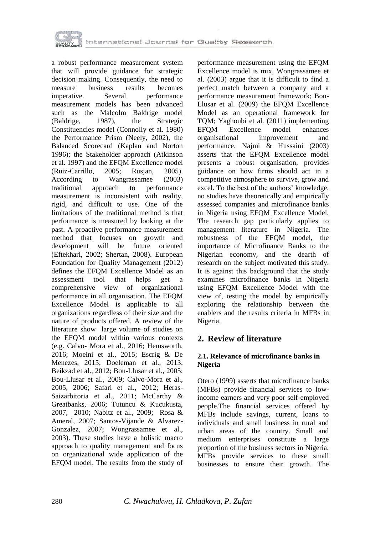

a robust performance measurement system that will provide guidance for strategic decision making. Consequently, the need to measure business results becomes imperative. Several performance measurement models has been advanced such as the Malcolm Baldrige model (Baldrige, 1987), the Strategic Constituencies model (Connolly et al. 1980) the Performance Prism (Neely, 2002), the Balanced Scorecard (Kaplan and Norton 1996); the Stakeholder approach (Atkinson et al. 1997) and the EFQM Excellence model (Ruiz-Carrillo, 2005; Rusjan, 2005). According to Wangrassamee (2003) traditional approach to performance measurement is inconsistent with reality, rigid, and difficult to use. One of the limitations of the traditional method is that performance is measured by looking at the past. A proactive performance measurement method that focuses on growth and development will be future oriented (Eftekhari, 2002; Shertan, 2008). European Foundation for Quality Management (2012) defines the EFQM Excellence Model as an assessment tool that helps get a comprehensive view of organizational performance in all organisation. The EFQM Excellence Model is applicable to all organizations regardless of their size and the nature of products offered. A review of the literature show large volume of studies on the EFQM model within various contexts (e.g. Calvo- Mora et al., 2016; Hemsworth, 2016; Moeini et al., 2015; Escrig & De Menezes, 2015; Doeleman et al., 2013; Beikzad et al., 2012; Bou-Llusar et al., 2005; Bou-Llusar et al., 2009; Calvo-Mora et al., 2005, 2006; Safari et al., 2012; Heras-Saizarbitoria et al., 2011; McCarthy & Greatbanks, 2006; Tutuncu & Kucukusta, 2007, 2010; Nabitz et al., 2009; Rosa & Ameral, 2007; Santos-Vijande & Alvarez-Gonzalez, 2007; Wongrassamee et al., 2003). These studies have a holistic macro approach to quality management and focus on organizational wide application of the EFQM model. The results from the study of

performance measurement using the EFQM Excellence model is mix, Wongrassamee et al. (2003) argue that it is difficult to find a perfect match between a company and a performance measurement framework; Bou-Llusar et al. (2009) the EFQM Excellence Model as an operational framework for TQM; Yaghoubi et al. (2011) implementing EFQM Excellence model enhances organisational improvement and performance. Najmi & Hussaini (2003) asserts that the EFQM Excellence model presents a robust organisation, provides guidance on how firms should act in a competitive atmosphere to survive, grow and excel. To the best of the authors' knowledge, no studies have theoretically and empirically assessed companies and microfinance banks in Nigeria using EFQM Excellence Model. The research gap particularly applies to management literature in Nigeria. The robustness of the EFQM model, the importance of Microfinance Banks to the Nigerian economy, and the dearth of research on the subject motivated this study. It is against this background that the study examines microfinance banks in Nigeria using EFQM Excellence Model with the view of, testing the model by empirically exploring the relationship between the enablers and the results criteria in MFBs in Nigeria.

# **2. Review of literature**

## **2.1. Relevance of microfinance banks in Nigeria**

Otero (1999) asserts that microfinance banks (MFBs) provide financial services to lowincome earners and very poor self-employed people.The financial services offered by MFBs include savings, current, loans to individuals and small business in rural and urban areas of the country. Small and medium enterprises constitute a large proportion of the business sectors in Nigeria. MFBs provide services to these small businesses to ensure their growth. The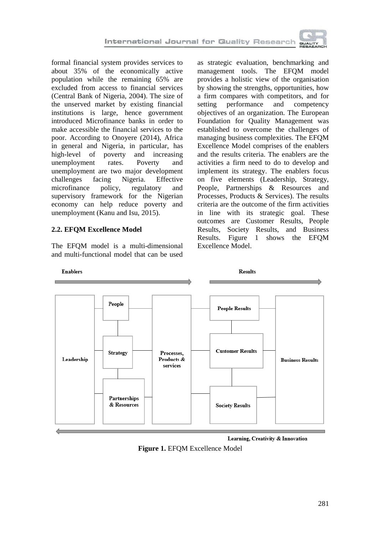

formal financial system provides services to about 35% of the economically active population while the remaining 65% are excluded from access to financial services (Central Bank of Nigeria, 2004). The size of the unserved market by existing financial institutions is large, hence government introduced Microfinance banks in order to make accessible the financial services to the poor. According to Onoyere (2014), Africa in general and Nigeria, in particular, has high-level of poverty and increasing unemployment rates. Poverty and unemployment are two major development challenges facing Nigeria. Effective microfinance policy, regulatory and supervisory framework for the Nigerian economy can help reduce poverty and unemployment (Kanu and Isu, 2015).

## **2.2. EFQM Excellence Model**

The EFQM model is a multi-dimensional and multi-functional model that can be used

as strategic evaluation, benchmarking and management tools. The EFQM model provides a holistic view of the organisation by showing the strengths, opportunities, how a firm compares with competitors, and for<br>setting performance and competency setting performance and competency objectives of an organization. The European Foundation for Quality Management was established to overcome the challenges of managing business complexities. The EFQM Excellence Model comprises of the enablers and the results criteria. The enablers are the activities a firm need to do to develop and implement its strategy. The enablers focus on five elements (Leadership, Strategy, People, Partnerships & Resources and Processes, Products & Services). The results criteria are the outcome of the firm activities in line with its strategic goal. These outcomes are Customer Results, People Results, Society Results, and Business Results. Figure 1 shows the EFQM Excellence Model.



#### Learning, Creativity & Innovation

**Figure 1.** EFQM Excellence Model

Enablers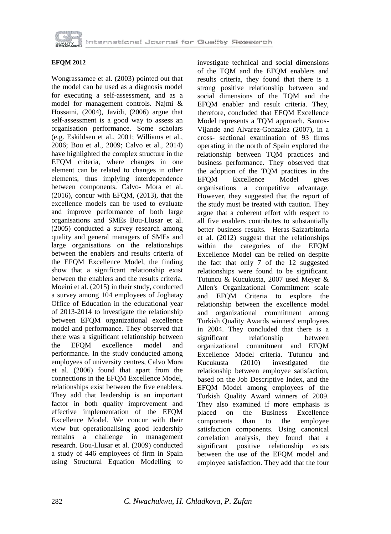

### **EFQM 2012**

Wongrassamee et al. (2003) pointed out that the model can be used as a diagnosis model for executing a self-assessment, and as a model for management controls. Najmi & Hossaini, (2004), Javidi, (2006) argue that self-assessment is a good way to assess an organisation performance. Some scholars (e.g. Eskildsen et al., 2001; Williams et al., 2006; Bou et al., 2009; Calvo et al., 2014) have highlighted the complex structure in the EFQM criteria, where changes in one element can be related to changes in other elements, thus implying interdependence between components. Calvo- Mora et al. (2016), concur with EFQM, (2013), that the excellence models can be used to evaluate and improve performance of both large organisations and SMEs Bou-Llusar et al. (2005) conducted a survey research among quality and general managers of SMEs and large organisations on the relationships between the enablers and results criteria of the EFQM Excellence Model, the finding show that a significant relationship exist between the enablers and the results criteria. Moeini et al. (2015) in their study, conducted a survey among 104 employees of Joghatay Office of Education in the educational year of 2013-2014 to investigate the relationship between EFQM organizational excellence model and performance. They observed that there was a significant relationship between the EFQM excellence model and performance. In the study conducted among employees of university centres, Calvo Mora et al. (2006) found that apart from the connections in the EFQM Excellence Model, relationships exist between the five enablers. They add that leadership is an important factor in both quality improvement and effective implementation of the EFQM Excellence Model. We concur with their view but operationalising good leadership remains a challenge in management research. Bou-Llusar et al. (2009) conducted a study of 446 employees of firm in Spain using Structural Equation Modelling to

investigate technical and social dimensions of the TQM and the EFQM enablers and results criteria, they found that there is a strong positive relationship between and social dimensions of the TQM and the EFQM enabler and result criteria. They, therefore, concluded that EFQM Excellence Model represents a TQM approach. Santos-Vijande and Alvarez-Gonzalez (2007), in a cross- sectional examination of 93 firms operating in the north of Spain explored the relationship between TQM practices and business performance. They observed that the adoption of the TQM practices in the EFQM Excellence Model gives organisations a competitive advantage. However, they suggested that the report of the study must be treated with caution. They argue that a coherent effort with respect to all five enablers contributes to substantially better business results. Heras-Saizarbitoria et al. (2012) suggest that the relationships within the categories of the EFQM Excellence Model can be relied on despite the fact that only 7 of the 12 suggested relationships were found to be significant. Tutuncu & Kucukusta, 2007 used Meyer & Allen's Organizational Commitment scale and EFQM Criteria to explore the relationship between the excellence model and organizational commitment among Turkish Quality Awards winners' employees in 2004. They concluded that there is a significant relationship between organizational commitment and EFQM Excellence Model criteria. Tutuncu and Kucukusta (2010) investigated the relationship between employee satisfaction, based on the Job Descriptive Index, and the EFQM Model among employees of the Turkish Quality Award winners of 2009. They also examined if more emphasis is placed on the Business Excellence components than to the employee satisfaction components. Using canonical correlation analysis, they found that a significant positive relationship exists between the use of the EFQM model and employee satisfaction. They add that the four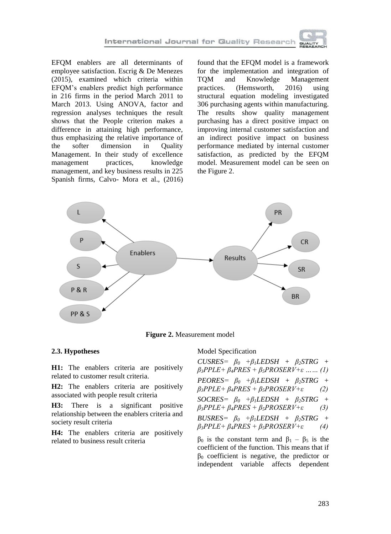EFQM enablers are all determinants of employee satisfaction. Escrig & De Menezes (2015), examined which criteria within EFQM's enablers predict high performance in 216 firms in the period March 2011 to March 2013. Using ANOVA, factor and regression analyses techniques the result shows that the People criterion makes a difference in attaining high performance, thus emphasizing the relative importance of the softer dimension in Quality Management. In their study of excellence management practices, knowledge management, and key business results in 225 Spanish firms, Calvo- Mora et al., (2016)

found that the EFQM model is a framework for the implementation and integration of TQM and Knowledge Management practices. (Hemsworth, 2016) using structural equation modeling investigated 306 purchasing agents within manufacturing. The results show quality management purchasing has a direct positive impact on improving internal customer satisfaction and an indirect positive impact on business performance mediated by internal customer satisfaction, as predicted by the EFQM model. Measurement model can be seen on the Figure 2.



**Figure 2.** Measurement model

## **2.3. Hypotheses**

**H1:** The enablers criteria are positively related to customer result criteria.

**H2:** The enablers criteria are positively associated with people result criteria

**H3:** There is a significant positive relationship between the enablers criteria and society result criteria

**H4:** The enablers criteria are positively related to business result criteria

#### Model Specification

 $CUSRES=$   $\beta_0$   $+\beta_1$ *LEDSH* +  $\beta_2$ *STRG* + *β3PPLE+ β4PRES + β5PROSERV+ε …… (1) PEORES= β<sup>0</sup> +β1LEDSH + β2STRG +*   $\beta_3$ *PPLE+*  $\beta_4$ *PRES* +  $\beta_5$ *PROSERV+ε* (2)  $SOCRES = \beta_0 + \beta_1 LEDSH + \beta_2 STRG +$ *β3PPLE+ β4PRES + β5PROSERV+ε (3)*  $BUSRES = \beta_0 + \beta_1 LEDSH + \beta_2 STRG +$ *β3PPLE+ β4PRES + β5PROSERV+ε (4)*

 $β_0$  is the constant term and  $β_1 - β_5$  is the coefficient of the function. This means that if  $β<sub>0</sub>$  coefficient is negative, the predictor or independent variable affects dependent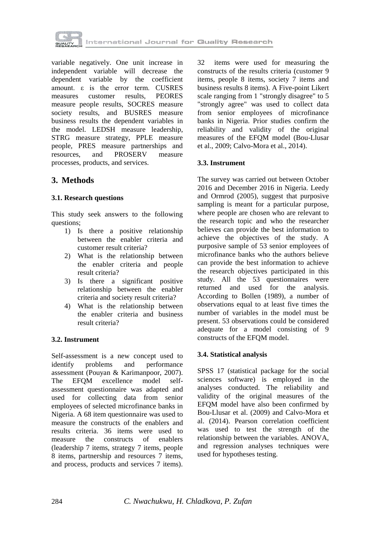

variable negatively. One unit increase in independent variable will decrease the dependent variable by the coefficient amount. ε is the error term. CUSRES measures customer results, PEORES measure people results, SOCRES measure society results, and BUSRES measure business results the dependent variables in the model. LEDSH measure leadership, STRG measure strategy, PPLE measure people, PRES measure partnerships and resources, and PROSERV measure processes, products, and services.

## **3. Methods**

## **3.1. Research questions**

This study seek answers to the following questions;

- 1) Is there a positive relationship between the enabler criteria and customer result criteria?
- 2) What is the relationship between the enabler criteria and people result criteria?
- 3) Is there a significant positive relationship between the enabler criteria and society result criteria?
- 4) What is the relationship between the enabler criteria and business result criteria?

## **3.2. Instrument**

Self-assessment is a new concept used to identify problems and performance assessment (Pouyan & Karimanpoor, 2007). The EFQM excellence model selfassessment questionnaire was adapted and used for collecting data from senior employees of selected microfinance banks in Nigeria. A 68 item questionnaire was used to measure the constructs of the enablers and results criteria. 36 items were used to measure the constructs of enablers (leadership 7 items, strategy 7 items, people 8 items, partnership and resources 7 items, and process, products and services 7 items).

32 items were used for measuring the constructs of the results criteria (customer 9 items, people 8 items, society 7 items and business results 8 items). A Five-point Likert scale ranging from 1 "strongly disagree" to 5 "strongly agree" was used to collect data from senior employees of microfinance banks in Nigeria. Prior studies confirm the reliability and validity of the original measures of the EFQM model (Bou-Llusar et al., 2009; Calvo-Mora et al., 2014).

## **3.3. Instrument**

The survey was carried out between October 2016 and December 2016 in Nigeria. Leedy and Ormrod (2005), suggest that purposive sampling is meant for a particular purpose, where people are chosen who are relevant to the research topic and who the researcher believes can provide the best information to achieve the objectives of the study. A purposive sample of 53 senior employees of microfinance banks who the authors believe can provide the best information to achieve the research objectives participated in this study. All the 53 questionnaires were returned and used for the analysis. According to Bollen (1989), a number of observations equal to at least five times the number of variables in the model must be present. 53 observations could be considered adequate for a model consisting of 9 constructs of the EFQM model.

## **3.4. Statistical analysis**

SPSS 17 (statistical package for the social sciences software) is employed in the analyses conducted. The reliability and validity of the original measures of the EFQM model have also been confirmed by Bou-Llusar et al. (2009) and Calvo-Mora et al. (2014). Pearson correlation coefficient was used to test the strength of the relationship between the variables. ANOVA, and regression analyses techniques were used for hypotheses testing.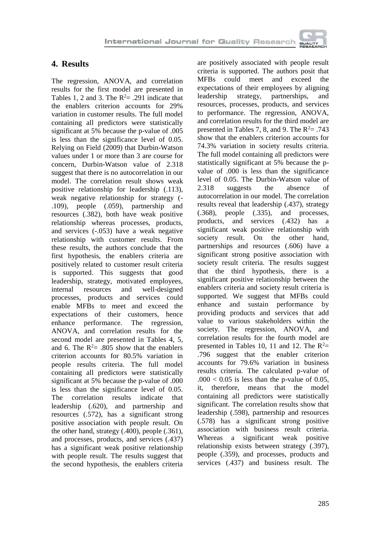

## **4. Results**

The regression, ANOVA, and correlation results for the first model are presented in Tables 1, 2 and 3. The  $R^2 = .291$  indicate that the enablers criterion accounts for 29% variation in customer results. The full model containing all predictors were statistically significant at 5% because the p-value of .005 is less than the significance level of 0.05. Relying on Field (2009) that Durbin-Watson values under 1 or more than 3 are course for concern, Durbin-Watson value of 2.318 suggest that there is no autocorrelation in our model. The correlation result shows weak positive relationship for leadership (.113), weak negative relationship for strategy (- .109), people (.059), partnership and resources (.382), both have weak positive relationship whereas processes, products, and services (-.053) have a weak negative relationship with customer results. From these results, the authors conclude that the first hypothesis, the enablers criteria are positively related to customer result criteria is supported. This suggests that good leadership, strategy, motivated employees, internal resources and well-designed processes, products and services could enable MFBs to meet and exceed the expectations of their customers, hence enhance performance. The regression, ANOVA, and correlation results for the second model are presented in Tables 4, 5, and 6. The  $R^2 = 805$  show that the enablers criterion accounts for 80.5% variation in people results criteria. The full model containing all predictors were statistically significant at 5% because the p-value of .000 is less than the significance level of 0.05. The correlation results indicate that leadership (.620), and partnership and resources (.572), has a significant strong positive association with people result. On the other hand, strategy (.400), people (.361), and processes, products, and services (.437) has a significant weak positive relationship with people result. The results suggest that the second hypothesis, the enablers criteria

are positively associated with people result criteria is supported. The authors posit that MFBs could meet and exceed the expectations of their employees by aligning leadership strategy, partnerships, and resources, processes, products, and services to performance. The regression, ANOVA, and correlation results for the third model are presented in Tables 7, 8, and 9. The  $R^2 = .743$ show that the enablers criterion accounts for 74.3% variation in society results criteria. The full model containing all predictors were statistically significant at 5% because the pvalue of .000 is less than the significance level of 0.05. The Durbin-Watson value of 2.318 suggests the absence of autocorrelation in our model. The correlation results reveal that leadership (.437), strategy (.368), people (.335), and processes, products, and services (.432) has a significant weak positive relationship with society result. On the other hand, partnerships and resources (.606) have a significant strong positive association with society result criteria. The results suggest that the third hypothesis, there is a significant positive relationship between the enablers criteria and society result criteria is supported. We suggest that MFBs could enhance and sustain performance by providing products and services that add value to various stakeholders within the society. The regression, ANOVA, and correlation results for the fourth model are presented in Tables 10, 11 and 12. The  $R^2$ = .796 suggest that the enabler criterion accounts for 79.6% variation in business results criteria. The calculated p-value of  $.000 < 0.05$  is less than the p-value of 0.05, it, therefore, means that the model containing all predictors were statistically significant. The correlation results show that leadership (.598), partnership and resources (.578) has a significant strong positive association with business result criteria. Whereas a significant weak positive relationship exists between strategy (.397), people (.359), and processes, products and services (.437) and business result. The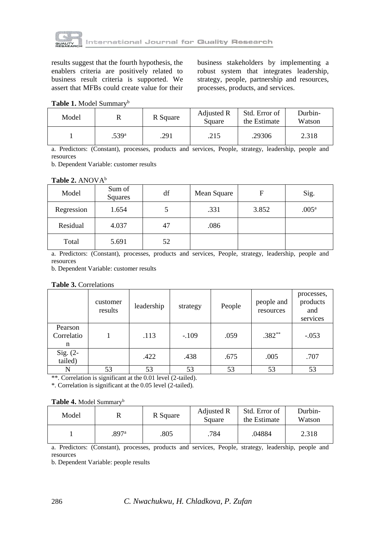

results suggest that the fourth hypothesis, the enablers criteria are positively related to business result criteria is supported. We assert that MFBs could create value for their business stakeholders by implementing a robust system that integrates leadership, strategy, people, partnership and resources, processes, products, and services.

**Table 1.** Model Summary<sup>b</sup>

| Model |                   | R Square | Adjusted R<br>Square | Std. Error of<br>the Estimate | Durbin-<br>Watson |
|-------|-------------------|----------|----------------------|-------------------------------|-------------------|
|       | .539 <sup>a</sup> | .291     | .215                 | .29306                        | 2.318             |

a. Predictors: (Constant), processes, products and services, People, strategy, leadership, people and resources

b. Dependent Variable: customer results

#### **Table 2.** ANOVA<sup>b</sup>

| Model      | Sum of<br><b>Squares</b> | df | Mean Square | F     | Sig.              |
|------------|--------------------------|----|-------------|-------|-------------------|
| Regression | 1.654                    |    | .331        | 3.852 | .005 <sup>a</sup> |
| Residual   | 4.037                    | 47 | .086        |       |                   |
| Total      | 5.691                    | 52 |             |       |                   |

a. Predictors: (Constant), processes, products and services, People, strategy, leadership, people and resources

b. Dependent Variable: customer results

|                            | customer<br>results | leadership | strategy | People | people and<br>resources | processes,<br>products<br>and<br>services |
|----------------------------|---------------------|------------|----------|--------|-------------------------|-------------------------------------------|
| Pearson<br>Correlatio<br>n |                     | .113       | $-.109$  | .059   | $.382**$                | $-.053$                                   |
| Sig. (2-<br>tailed)        |                     | .422       | .438     | .675   | .005                    | .707                                      |
| N                          | 53                  | 53         | 53       | 53     | 53                      | 53                                        |

\*\*. Correlation is significant at the 0.01 level (2-tailed).

\*. Correlation is significant at the 0.05 level (2-tailed).

#### **Table 4.** Model Summary<sup>b</sup>

| Model |       | R Square | Adjusted R<br>Square | Std. Error of<br>the Estimate | Durbin-<br>Watson |
|-------|-------|----------|----------------------|-------------------------------|-------------------|
|       | .897ª | .805     | 784                  | .04884                        | 2.318             |

a. Predictors: (Constant), processes, products and services, People, strategy, leadership, people and resources

b. Dependent Variable: people results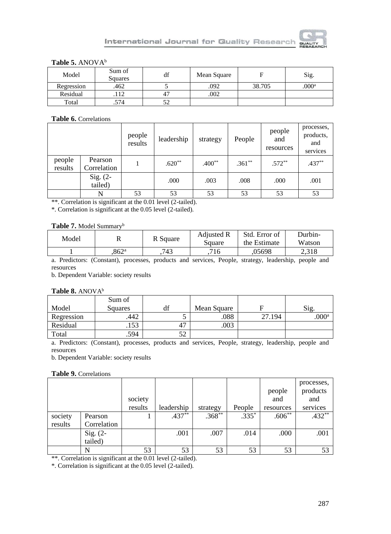

## Table 5. ANOVA<sup>b</sup>

| Model      | Sum of<br>Squares | df  | Mean Square | F      | Sig.              |
|------------|-------------------|-----|-------------|--------|-------------------|
| Regression | .462              |     | .092        | 38.705 | .000 <sup>a</sup> |
| Residual   |                   |     | .002        |        |                   |
| Total      | .574              | ے ب |             |        |                   |

#### **Table 6.** Correlations

|                   |                        | people<br>results | leadership | strategy | People   | people<br>and<br>resources | processes,<br>products,<br>and<br>services |
|-------------------|------------------------|-------------------|------------|----------|----------|----------------------------|--------------------------------------------|
| people<br>results | Pearson<br>Correlation |                   | $.620**$   | $.400**$ | $.361**$ | $.572**$                   | $.437**$                                   |
|                   | Sig. $(2-$<br>tailed)  |                   | .000       | .003     | .008     | .000                       | .001                                       |
|                   |                        | 53                | 53         | 53       | 53       | 53                         | 53                                         |

\*\*. Correlation is significant at the 0.01 level (2-tailed).

\*. Correlation is significant at the 0.05 level (2-tailed).

### **Table 7.** Model Summary<sup>b</sup>

| Model | v                 | R Square | <b>Adjusted R</b><br>Square | Std. Error of<br>the Estimate | Durbin-<br>Watson |
|-------|-------------------|----------|-----------------------------|-------------------------------|-------------------|
|       | .862 <sup>a</sup> | 743      | 716                         | .05698                        | 2.318             |
|       |                   |          |                             |                               |                   |

a. Predictors: (Constant), processes, products and services, People, strategy, leadership, people and resources

b. Dependent Variable: society results

#### **Table 8.** ANOVA<sup>b</sup>

|            | Sum of         |             |        |                   |
|------------|----------------|-------------|--------|-------------------|
| Model      | <b>Squares</b> | Mean Square |        | Sig.              |
| Regression | .442           | .088        | 27.194 | .000 <sup>a</sup> |
| Residual   | .153           | .003        |        |                   |
| Total      | .594           |             |        |                   |

a. Predictors: (Constant), processes, products and services, People, strategy, leadership, people and resources

b. Dependent Variable: society results

#### **Table 9.** Correlations

|         |             | society |            |           |         | people<br>and | processes,<br>products<br>and |
|---------|-------------|---------|------------|-----------|---------|---------------|-------------------------------|
|         |             | results | leadership | strategy  | People  | resources     | services                      |
| society | Pearson     |         | $.437***$  | $.368***$ | $.335*$ | $.606**$      | $.432**$                      |
| results | Correlation |         |            |           |         |               |                               |
|         | Sig. $(2-$  |         | .001       | .007      | .014    | .000          | .001                          |
|         | tailed)     |         |            |           |         |               |                               |
|         |             | 53      | 53         | 53        | 53      | 53            |                               |

\*\*. Correlation is significant at the 0.01 level (2-tailed).

\*. Correlation is significant at the 0.05 level (2-tailed).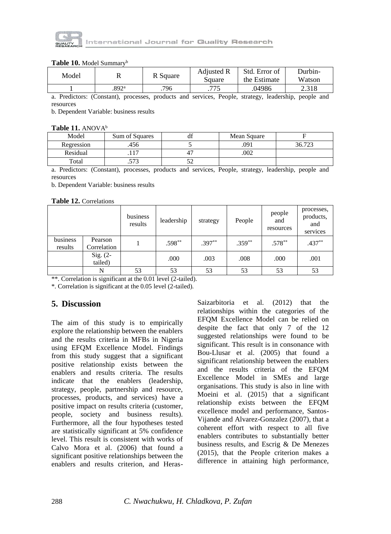

#### Table 10. Model Summary<sup>b</sup>

| Model | v     | R Square | <b>Adjusted R</b><br>Square | Std. Error of<br>the Estimate | Durbin-<br>Watson |
|-------|-------|----------|-----------------------------|-------------------------------|-------------------|
|       | .892ª | 796      | .775                        | .04986                        | 2.318             |

a. Predictors: (Constant), processes, products and services, People, strategy, leadership, people and resources

b. Dependent Variable: business results

#### Table 11. ANOVA<sup>b</sup>

| Model      | Sum of Squares | uı | Mean Square |        |
|------------|----------------|----|-------------|--------|
| Regression | 456            |    | 091         | 36.723 |
| Residual   | .              |    | .002        |        |
| Total      | ר –<br>ر ر ر.  |    |             |        |

a. Predictors: (Constant), processes, products and services, People, strategy, leadership, people and resources

b. Dependent Variable: business results

#### **Table 12.** Correlations

|                     |                        | business<br>results | leadership | strategy | People    | people<br>and<br>resources | processes,<br>products,<br>and<br>services |
|---------------------|------------------------|---------------------|------------|----------|-----------|----------------------------|--------------------------------------------|
| business<br>results | Pearson<br>Correlation |                     | $.598**$   | $.397**$ | $.359***$ | $.578**$                   | $.437**$                                   |
|                     | Sig. (2-<br>tailed)    |                     | .000       | .003     | .008      | .000                       | .001                                       |
|                     | N                      | 53                  | 53         | 53       | 53        | 53                         | 53                                         |

\*\*. Correlation is significant at the 0.01 level (2-tailed).

\*. Correlation is significant at the 0.05 level (2-tailed).

## **5. Discussion**

The aim of this study is to empirically explore the relationship between the enablers and the results criteria in MFBs in Nigeria using EFQM Excellence Model. Findings from this study suggest that a significant positive relationship exists between the enablers and results criteria. The results indicate that the enablers (leadership, strategy, people, partnership and resource, processes, products, and services) have a positive impact on results criteria (customer, people, society and business results). Furthermore, all the four hypotheses tested are statistically significant at 5% confidence level. This result is consistent with works of Calvo Mora et al. (2006) that found a significant positive relationships between the enablers and results criterion, and HerasSaizarbitoria et al. (2012) that the relationships within the categories of the EFQM Excellence Model can be relied on despite the fact that only 7 of the 12 suggested relationships were found to be significant. This result is in consonance with Bou-Llusar et al. (2005) that found a significant relationship between the enablers and the results criteria of the EFQM Excellence Model in SMEs and large organisations. This study is also in line with Moeini et al. (2015) that a significant relationship exists between the EFQM excellence model and performance, Santos-Vijande and Alvarez-Gonzalez (2007), that a coherent effort with respect to all five enablers contributes to substantially better business results, and Escrig & De Menezes (2015), that the People criterion makes a difference in attaining high performance,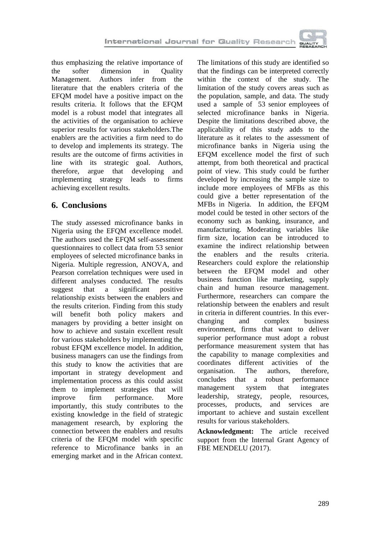

thus emphasizing the relative importance of the softer dimension in Quality Management. Authors infer from the literature that the enablers criteria of the EFQM model have a positive impact on the results criteria. It follows that the EFQM model is a robust model that integrates all the activities of the organisation to achieve superior results for various stakeholders.The enablers are the activities a firm need to do to develop and implements its strategy. The results are the outcome of firms activities in line with its strategic goal. Authors, therefore, argue that developing and implementing strategy leads to firms achieving excellent results.

# **6. Conclusions**

The study assessed microfinance banks in Nigeria using the EFQM excellence model. The authors used the EFQM self-assessment questionnaires to collect data from 53 senior employees of selected microfinance banks in Nigeria. Multiple regression, ANOVA, and Pearson correlation techniques were used in different analyses conducted. The results suggest that a significant positive relationship exists between the enablers and the results criterion. Finding from this study will benefit both policy makers and managers by providing a better insight on how to achieve and sustain excellent result for various stakeholders by implementing the robust EFQM excellence model. In addition, business managers can use the findings from this study to know the activities that are important in strategy development and implementation process as this could assist them to implement strategies that will improve firm performance. More importantly, this study contributes to the existing knowledge in the field of strategic management research, by exploring the connection between the enablers and results criteria of the EFQM model with specific reference to Microfinance banks in an emerging market and in the African context.

The limitations of this study are identified so that the findings can be interpreted correctly within the context of the study. The limitation of the study covers areas such as the population, sample, and data. The study used a sample of 53 senior employees of selected microfinance banks in Nigeria. Despite the limitations described above, the applicability of this study adds to the literature as it relates to the assessment of microfinance banks in Nigeria using the EFQM excellence model the first of such attempt, from both theoretical and practical point of view. This study could be further developed by increasing the sample size to include more employees of MFBs as this could give a better representation of the MFBs in Nigeria. In addition, the EFQM model could be tested in other sectors of the economy such as banking, insurance, and manufacturing. Moderating variables like firm size, location can be introduced to examine the indirect relationship between the enablers and the results criteria. Researchers could explore the relationship between the EFQM model and other business function like marketing, supply chain and human resource management. Furthermore, researchers can compare the relationship between the enablers and result in criteria in different countries. In this everchanging and complex business environment, firms that want to deliver superior performance must adopt a robust performance measurement system that has the capability to manage complexities and coordinates different activities of the organisation. The authors, therefore, concludes that a robust performance management system that integrates leadership, strategy, people, resources, processes, products, and services are important to achieve and sustain excellent results for various stakeholders.

**Acknowledgment:** The article received support from the Internal Grant Agency of FBE MENDELU (2017).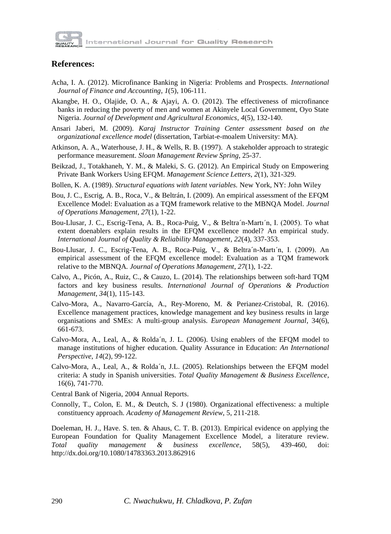

## **References:**

- Acha, I. A. (2012). Microfinance Banking in Nigeria: Problems and Prospects. *International Journal of Finance and Accounting*, *1*(5), 106-111.
- Akangbe, H. O., Olajide, O. A., & Ajayi, A. O. (2012). The effectiveness of microfinance banks in reducing the poverty of men and women at Akinyele Local Government, Oyo State Nigeria. *Journal of Development and Agricultural Economics*, *4*(5), 132-140.
- Ansari Jaberi, M. (2009). *Karaj Instructor Training Center assessment based on the organizational excellence model* (dissertation, Tarbiat-e-moalem University: MA).
- Atkinson, A. A., Waterhouse, J. H., & Wells, R. B. (1997). A stakeholder approach to strategic performance measurement. *Sloan Management Review Spring*, 25-37.
- Beikzad, J., Totakhaneh, Y. M., & Maleki, S. G. (2012). An Empirical Study on Empowering Private Bank Workers Using EFQM. *Management Science Letters*, *2*(1), 321-329.
- Bollen, K. A. (1989). *Structural equations with latent variables.* New York, NY: John Wiley
- Bou, J. C., Escrig, A. B., Roca, V., & Beltrán, I. (2009). An empirical assessment of the EFQM Excellence Model: Evaluation as a TQM framework relative to the MBNQA Model. *Journal of Operations Management*, *27*(1), 1-22.
- Bou-Llusar, J. C., Escrig-Tena, A. B., Roca-Puig, V., & Beltra´n-Martı´n, I. (2005). To what extent doenablers explain results in the EFQM excellence model? An empirical study. *International Journal of Quality & Reliability Management*, *22*(4), 337-353.
- Bou-Llusar, J. C., Escrig-Tena, A. B., Roca-Puig, V., & Beltra´n-Martı´n, I. (2009). An empirical assessment of the EFQM excellence model: Evaluation as a TQM framework relative to the MBNQA*. Journal of Operations Management*, *27*(1), 1-22.
- Calvo, A., Picón, A., Ruiz, C., & Cauzo, L. (2014). The relationships between soft-hard TQM factors and key business results. *International Journal of Operations & Production Management*, *34*(1), 115-143.
- Calvo-Mora, A., Navarro-García, A., Rey-Moreno, M. & Perianez-Cristobal, R. (2016). Excellence management practices, knowledge management and key business results in large organisations and SMEs: A multi-group analysis. *European Management Journal*, 34(6), 661-673.
- Calvo-Mora, A., Leal, A., & Rolda´n, J. L. (2006). Using enablers of the EFQM model to manage institutions of higher education. Quality Assurance in Education: *An International Perspective*, *14*(2), 99-122.
- Calvo-Mora, A., Leal, A., & Rolda´n, J.L. (2005). Relationships between the EFQM model criteria: A study in Spanish universities. *Total Quality Management & Business Excellence*, 16(6), 741-770.
- Central Bank of Nigeria, 2004 Annual Reports.
- Connolly, T., Colon, E. M., & Deutch, S. J (1980). Organizational effectiveness: a multiple constituency approach. *Academy of Management Review*, 5, 211-218.

Doeleman, H. J., Have. S. ten. & Ahaus, C. T. B. (2013). Empirical evidence on applying the European Foundation for Quality Management Excellence Model, a literature review. *Total quality management & business excellence*, 58(5), 439-460, doi: http://dx.doi.org/10.1080/14783363.2013.862916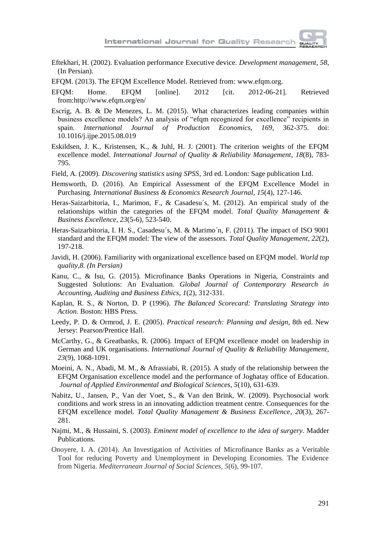

- Eftekhari, H. (2002). Evaluation performance Executive device. *Development management*, *58*, (In Persian).
- EFQM. (2013). The EFQM Excellence Model. Retrieved from: www.efqm.org.
- EFQM: Home. EFQM [online]. 2012 [cit. 2012-06-21]. Retrieved from:http://www.efqm.org/en/
- Escrig, A. B. & De Menezes, L. M. (2015). What characterizes leading companies within business excellence models? An analysis of "efqm recognized for excellence" recipients in spain. *International Journal of Production Economics*, *169*, 362-375. doi: 10.1016/j.ijpe.2015.08.019
- Eskildsen, J. K., Kristensen, K., & Juhl, H. J. (2001). The criterion weights of the EFQM excellence model. *International Journal of Quality & Reliability Management*, *18*(8), 783- 795.
- Field, A. (2009). *Discovering statistics using SPSS*, 3rd ed. London: Sage publication Ltd.
- Hemsworth, D. (2016). An Empirical Assessment of the EFQM Excellence Model in Purchasing. *International Business & Economics Research Journal*, *15*(4), 127-146.
- Heras-Saizarbitoria, I., Marimon, F., & Casadesu´s, M. (2012). An empirical study of the relationships within the categories of the EFQM model. *Total Quality Management & Business Excellence*, *23*(5-6), 523-540.
- Heras-Saizarbitoria, I. H. S., Casadesu´s, M. & Marimo´n, F. (2011). The impact of ISO 9001 standard and the EFQM model: The view of the assessors. *Total Quality Management*, *22*(2), 197-218.
- Javidi, H. (2006). Familiarity with organizational excellence based on EFQM model*. World top quality*,*8. (In Persian)*
- Kanu, C., & Isu, G. (2015). Microfinance Banks Operations in Nigeria, Constraints and Suggested Solutions: An Evaluation. *Global Journal of Contemporary Research in Accounting, Auditing and Business Ethics*, *1*(2), 312-331.
- Kaplan, R. S., & Norton, D. P (1996). *The Balanced Scorecard: Translating Strategy into Action.* Boston: HBS Press.
- Leedy, P. D. & Ormrod, J. E. (2005). *Practical research: Planning and design*, 8th ed. New Jersey: Pearson/Prentice Hall.
- McCarthy, G., & Greatbanks, R. (2006). Impact of EFQM excellence model on leadership in German and UK organisations. *International Journal of Quality & Reliability Management*, *23*(9), 1068-1091.
- Moeini, A. N., Abadi, M. M., & Afrassiabi, R. (2015). A study of the relationship between the EFQM Organisation excellence model and the performance of Joghatay office of Education*. Journal of Applied Environmental and Biological Sciences*, *5*(10), 631-639.
- Nabitz, U., Jansen, P., Van der Voet, S., & Van den Brink, W. (2009). Psychosocial work conditions and work stress in an innovating addiction treatment centre. Consequences for the EFQM excellence model. *Total Quality Management & Business Excellence*, *20*(3), 267- 281.
- Najmi, M., & Hussaini, S. (2003). *Eminent model of excellence to the idea of surgery*. Madder Publications.
- Onoyere, I. A. (2014). An Investigation of Activities of Microfinance Banks as a Veritable Tool for reducing Poverty and Unemployment in Developing Economies. The Evidence from Nigeria. *Mediterranean Journal of Social Sciences*, *5*(6), 99-107.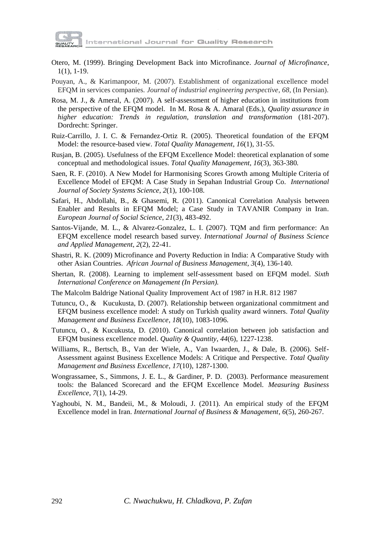

- Otero, M. (1999). Bringing Development Back into Microfinance. *Journal of Microfinance*, 1(1), 1-19.
- Pouyan, A., & Karimanpoor, M. (2007). Establishment of organizational excellence model EFQM in services companies*. Journal of industrial engineering perspective*, *68*, (In Persian).
- Rosa, M. J., & Ameral, A. (2007). A self-assessment of higher education in institutions from the perspective of the EFQM model.In M. Rosa & A. Amaral (Eds.), *Quality assurance in higher education: Trends in regulation, translation and transformation* (181-207). Dordrecht: Springer.
- Ruiz-Carrillo, J. I. C. & Fernandez-Ortiz R. (2005). Theoretical foundation of the EFQM Model: the resource-based view. *Total Quality Management*, *16*(1), 31-55.
- Rusjan, B. (2005). Usefulness of the EFQM Excellence Model: theoretical explanation of some conceptual and methodological issues. *Total Quality Management*, *16*(3), 363-380*.*
- Saen, R. F. (2010). A New Model for Harmonising Scores Growth among Multiple Criteria of Excellence Model of EFQM: A Case Study in Sepahan Industrial Group Co. *International Journal of Society Systems Science*, *2*(1), 100-108.
- Safari, H., Abdollahi, B., & Ghasemi, R. (2011). Canonical Correlation Analysis between Enabler and Results in EFQM Model; a Case Study in TAVANIR Company in Iran*. European Journal of Social Science*, *21*(3), 483-492.
- Santos-Vijande, M. L., & Alvarez-Gonzalez, L. I. (2007). TQM and firm performance: An EFQM excellence model research based survey. *International Journal of Business Science and Applied Management*, *2*(2), 22-41.
- Shastri, R. K. (2009) Microfinance and Poverty Reduction in India: A Comparative Study with other Asian Countries. *African Journal of Business Management*, *3*(4), 136-140*.*
- Shertan, R. (2008). Learning to implement self-assessment based on EFQM model. *Sixth International Conference on Management (In Persian).*
- The Malcolm Baldrige National Quality Improvement Act of 1987 in H.R. 812 1987
- Tutuncu, O., & Kucukusta, D. (2007). Relationship between organizational commitment and EFQM business excellence model: A study on Turkish quality award winners. *Total Quality Management and Business Excellence*, *18*(10), 1083-1096.
- Tutuncu, O., & Kucukusta, D. (2010). Canonical correlation between job satisfaction and EFQM business excellence model. *Quality & Quantity*, *44*(6), 1227-1238.
- Williams, R., Bertsch, B., Van der Wiele, A., Van Iwaarden, J., & Dale, B. (2006). Self-Assessment against Business Excellence Models: A Critique and Perspective. *Total Quality Management and Business Excellence*, *17*(10), 1287-1300.
- Wongrassamee, S., Simmons, J. E. L., & Gardiner, P. D. (2003). Performance measurement tools: the Balanced Scorecard and the EFQM Excellence Model. *Measuring Business Excellence*, *7*(1), 14-29.
- Yaghoubi, N. M., Bandeii, M., & Moloudi, J. (2011). An empirical study of the EFQM Excellence model in Iran. *International Journal of Business & Management*, *6*(5), 260-267.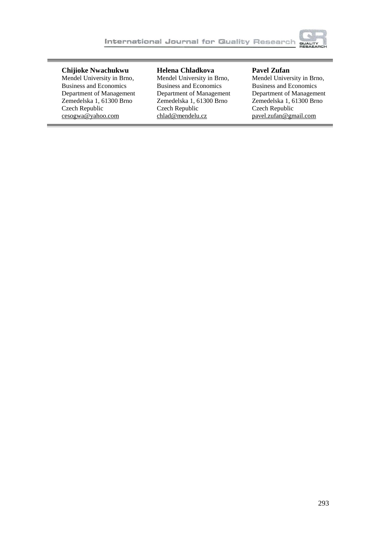

## **Chijioke Nwachukwu**

Mendel University in Brno, Business and Economics Department of Management Zemedelska 1, 61300 Brno Czech Republic [cesogwa@yahoo.com](mailto:cesogwa@yahoo.com)

## **Helena Chladkova**

Mendel University in Brno, Business and Economics Department of Management Zemedelska 1, 61300 Brno Czech Republic [chlad@mendelu.cz](mailto:chlad@mendelu.cz)

## **Pavel Zufan**

Mendel University in Brno, Business and Economics Department of Management Zemedelska 1, 61300 Brno Czech Republic [pavel.zufan@gmail.com](mailto:pavel.zufan@gmail.com)